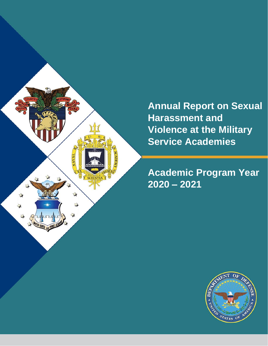

**Annual Report on Sexual Harassment and Violence at the Military Service Academies**

## **Academic Program Year 2020 – 2021**

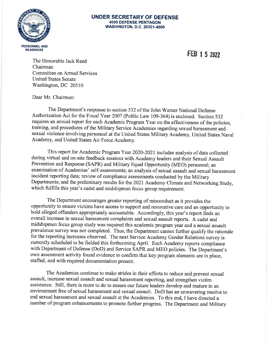

#### **UNDER SECRETARY OF DEFENSE 4000 DEFENSE PENTAGON WASHINGTON, D.C. 20301-4000**

FEB 1 5 2022

The Honorable Jack Reed Chairman **Committee on Armed Services United States Senate** Washington, DC 20510

Dear Mr. Chairman:

The Department's response to section 532 of the John Warner National Defense Authorization Act for the Fiscal Year 2007 (Public Law 109-364) is enclosed. Section 532 requires an annual report for each Academic Program Year on the effectiveness of the policies, training, and procedures of the Military Service Academies regarding sexual harassment and sexual violence involving personnel at the United States Military Academy, United States Naval Academy, and United States Air Force Academy.

This report for Academic Program Year 2020-2021 includes analysis of data collected during virtual and on-site feedback sessions with Academy leaders and their Sexual Assault Prevention and Response (SAPR) and Military Equal Opportunity (MEO) personnel; an examination of Academies' self-assessments; an analysis of sexual assault and sexual harassment incident reporting data; review of compliance assessments conducted by the Military Departments; and the preliminary results for the 2021 Academy Climate and Networking Study, which fulfills this year's cadet and midshipman focus group requirement.

The Department encourages greater reporting of misconduct as it provides the opportunity to ensure victims have access to support and restorative care and an opportunity to hold alleged offenders appropriately accountable. Accordingly, this year's report finds an overall increase in sexual harassment complaints and sexual assault reports. A cadet and midshipmen focus group study was required this academic program year and a sexual assault prevalence survey was not completed. Thus, the Department cannot further qualify the rationale for the reporting increases observed. The next Service Academy Gender Relations survey is currently scheduled to be fielded this forthcoming April. Each Academy reports compliance with Department of Defense (DoD) and Service SAPR and MEO policies. The Department's own assessment activity found evidence to confirm that key program elements are in place, staffed, and with required documentation present.

The Academies continue to make strides in their efforts to reduce and prevent sexual assault, increase sexual assault and sexual harassment reporting, and strengthen victim assistance. Still, there is more to do to ensure our future leaders develop and mature in an environment free of sexual harassment and sexual assault. DoD has an unwavering resolve to end sexual harassment and sexual assault at the Academies. To this end, I have directed a number of program enhancements to promote further progress. The Department and Military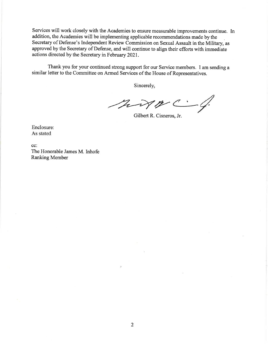Services will work closely with the Academies to ensure measurable improvements continue. In addition, the Academies will be implementing applicable recommendations made by the Secretary of Defense's Independent Review Commission on Sexual Assault in the Military, as approved by the Secretary of Defense, and will continue to align their efforts with immediate actions directed by the Secretary in February 2021.

Thank you for your continued strong support for our Service members. I am sending a similar letter to the Committee on Armed Services of the House of Representatives.

Sincerely,

This  $\mathcal{V}$  /2  $-4/$ 

Gilbert R. Cisneros, Jr.

Enclosure: As stated

cc: The Honorable James M. Inhofe **Ranking Member**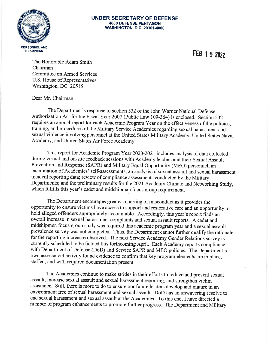

#### **UNDER SECRETARY OF DEFENSE 4000 DEFENSE PENTAGON WASHINGTON, D.C. 20301-4000**

FEB 1 5 2022

The Honorable Adam Smith Chairman Committee on Armed Services U.S. House of Representatives Washington, DC 20515

Dear Mr. Chairman:

The Department's response to section 532 of the John Warner National Defense Authorization Act for the Fiscal Year 2007 (Public Law 109-364) is enclosed. Section 532 requires an annual report for each Academic Program Year on the effectiveness of the policies, training, and procedures of the Military Service Academies regarding sexual harassment and sexual violence involving personnel at the United States Military Academy, United States Naval Academy, and United States Air Force Academy.

This report for Academic Program Year 2020-2021 includes analysis of data collected during virtual and on-site feedback sessions with Academy leaders and their Sexual Assault Prevention and Response (SAPR) and Military Equal Opportunity (MEO) personnel; an examination of Academies' self-assessments; an analysis of sexual assault and sexual harassment incident reporting data; review of compliance assessments conducted by the Military Departments; and the preliminary results for the 2021 Academy Climate and Networking Study, which fulfills this year's cadet and midshipman focus group requirement.

The Department encourages greater reporting of misconduct as it provides the opportunity to ensure victims have access to support and restorative care and an opportunity to hold alleged offenders appropriately accountable. Accordingly, this year's report finds an overall increase in sexual harassment complaints and sexual assault reports. A cadet and midshipmen focus group study was required this academic program year and a sexual assault prevalence survey was not completed. Thus, the Department cannot further qualify the rationale for the reporting increases observed. The next Service Academy Gender Relations survey is currently scheduled to be fielded this forthcoming April. Each Academy reports compliance with Department of Defense (DoD) and Service SAPR and MEO policies. The Department's own assessment activity found evidence to confirm that key program elements are in place, staffed, and with required documentation present.

The Academies continue to make strides in their efforts to reduce and prevent sexual assault, increase sexual assault and sexual harassment reporting, and strengthen victim assistance. Still, there is more to do to ensure our future leaders develop and mature in an environment free of sexual harassment and sexual assault. DoD has an unwavering resolve to end sexual harassment and sexual assault at the Academies. To this end, I have directed a number of program enhancements to promote further progress. The Department and Military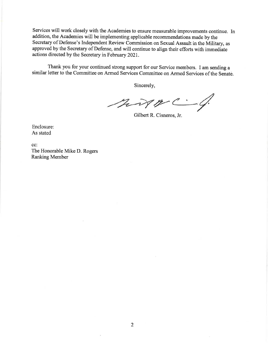Services will work closely with the Academies to ensure measurable improvements continue. In addition, the Academies will be implementing applicable recommendations made by the Secretary of Defense's Independent Review Commission on Sexual Assault in the Military, as approved by the Secretary of Defense, and will continue to align their efforts with immediate actions directed by the Secretary in February 2021.

Thank you for your continued strong support for our Service members. I am sending a similar letter to the Committee on Armed Services Committee on Armed Services of the Senate.

Sincerely,

ning 19 -4

Gilbert R. Cisneros, Jr.

Enclosure: As stated

cc: The Honorable Mike D. Rogers **Ranking Member**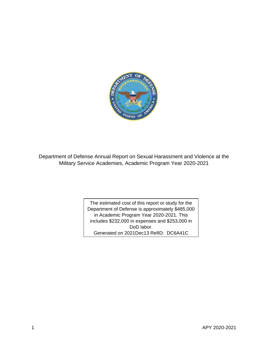

Department of Defense Annual Report on Sexual Harassment and Violence at the Military Service Academies, Academic Program Year 2020-2021

> The estimated cost of this report or study for the Department of Defense is approximately \$485,000 in Academic Program Year 2020-2021. This includes \$232,000 in expenses and \$253,000 in DoD labor. Generated on 2021Dec13 RefID: DC6A41C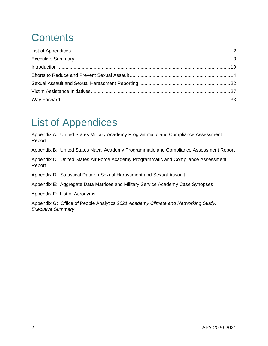# **Contents**

# <span id="page-6-0"></span>List of Appendices

Appendix A: United States Military Academy Programmatic and Compliance Assessment Report

Appendix B: United States Naval Academy Programmatic and Compliance Assessment Report

Appendix C: United States Air Force Academy Programmatic and Compliance Assessment Report

Appendix D: Statistical Data on Sexual Harassment and Sexual Assault

Appendix E: Aggregate Data Matrices and Military Service Academy Case Synopses

Appendix F: List of Acronyms

Appendix G: Office of People Analytics *2021 Academy Climate and Networking Study: Executive Summary*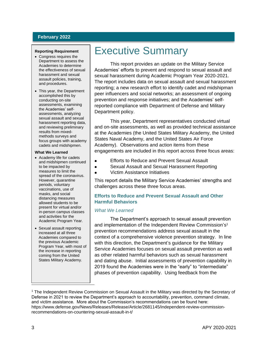## **February 2022**

#### **Reporting Requirement**

- Congress requires the Department to assess the Academies to determine the effectiveness of sexual harassment and sexual assault policies, training, and procedures.
- This year, the Department accomplished this by conducting on-site assessments, examining the Academies' selfassessments, analyzing sexual assault and sexual harassment reporting data, and reviewing preliminary results from mixedmethods surveys and focus groups with academy cadets and midshipmen.

#### **What We Learned**

- Academy life for cadets and midshipmen continued to be impacted by measures to limit the spread of the coronavirus. However, quarantine periods, voluntary vaccinations, use of masks, and social distancing measures allowed students to be present for virtual and/or in-person campus classes and activities for the Academic Program Year.
- Sexual assault reporting increased at all three Academies compared to the previous Academic Program Year, with most of the increase in reporting coming from the United States Military Academy.

## <span id="page-7-0"></span>Executive Summary

This report provides an update on the Military Service Academies' efforts to prevent and respond to sexual assault and sexual harassment during Academic Program Year 2020-2021. The report includes data on sexual assault and sexual harassment reporting; a new research effort to identify cadet and midshipman peer influencers and social networks; an assessment of ongoing prevention and response initiatives; and the Academies' selfreported compliance with Department of Defense and Military Department policy.

This year, Department representatives conducted virtual and on-site assessments, as well as provided technical assistance at the Academies (the United States Military Academy, the United States Naval Academy, and the United States Air Force Academy). Observations and action items from these engagements are included in this report across three focus areas:

- Efforts to Reduce and Prevent Sexual Assault  $\bullet$
- Sexual Assault and Sexual Harassment Reporting  $\bullet$
- $\bullet$ Victim Assistance Initiatives

This report details the Military Service Academies' strengths and challenges across these three focus areas.

### **Efforts to Reduce and Prevent Sexual Assault and Other Harmful Behaviors**

### *What We Learned*

The Department's approach to sexual assault prevention and implementation of the Independent Review Commission's 1 prevention recommendations address sexual assault in the context of a comprehensive violence prevention strategy. In line with this direction, the Department's guidance for the Military Service Academies focuses on sexual assault prevention as well as other related harmful behaviors such as sexual harassment and dating abuse. Initial assessments of prevention capability in 2019 found the Academies were in the "early" to "intermediate" phases of prevention capability. Using feedback from the

 $\overline{a}$ 

<sup>1</sup> The Independent Review Commission on Sexual Assault in the Military was directed by the Secretary of Defense in 2021 to review the Department's approach to accountability, prevention, command climate, and victim assistance. More about the Commission's recommendations can be found here: https://www.defense.gov/News/Releases/Release/Article/2681145/independent-review-commissionrecommendations-on-countering-sexual-assault-in-t/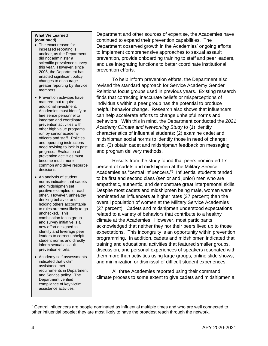#### **What We Learned (continued)**

- The exact reason for increased reporting is unclear, as the Department did not administer a scientific prevalence survey this year. However, since 2005, the Department has enacted significant policy changes to encourage greater reporting by Service members.
- Prevention activities have matured, but require additional investment. Academies must identify or hire senior personnel to integrate and coordinate prevention activities with other high value programs run by senior academy officers and staff. Policies and operating instructions need revising to lock in past progress. Evaluation of prevention activities must become much more common and drive resource decisions.
- An analysis of student norms indicates that cadets and midshipmen set positive examples for each other. However, unhealthy drinking behavior and holding others accountable to rules are most likely to go unchecked. This combination focus group and survey initiative is a new effort designed to identify and leverage peer leaders to correct unhelpful student norms and directly inform sexual assault prevention efforts.
- Academy self-assessments indicated that victim assistance met requirements in Department and Service policy. The Department verified compliance of key victim assistance activities.

Department and other sources of expertise, the Academies have continued to expand their prevention capabilities. The Department observed growth in the Academies' ongoing efforts to implement comprehensive approaches to sexual assault prevention, provide onboarding training to staff and peer leaders, and use integrating functions to better coordinate institutional prevention efforts.

To help inform prevention efforts, the Department also revised the standard approach for Service Academy Gender Relations focus groups used in previous years. Existing research finds that correcting inaccurate beliefs or misperceptions of individuals within a peer group has the potential to produce helpful behavior change. Research also shows that influencers can help accelerate efforts to change unhelpful norms and behaviors. With this in mind, the Department conducted the *2021 Academy Climate and Networking Study* to (1) identify characteristics of influential students; (2) examine cadet and midshipman social norms to identify those in need of change; and, (3) obtain cadet and midshipman feedback on messaging and program delivery methods.

Results from the study found that peers nominated 17 percent of cadets and midshipmen at the Military Service Academies as "central influencers."<sup>2</sup> Influential students tended to be first and second class (senior and junior) men who are empathetic, authentic, and demonstrate great interpersonal skills. Despite most cadets and midshipmen being male, women were nominated as influencers at higher rates (37 percent) than the overall population of women at the Military Service Academies (27 percent). Cadets and midshipmen understood expectations related to a variety of behaviors that contribute to a healthy climate at the Academies. However, most participants acknowledged that neither they nor their peers lived up to those expectations. This incongruity is an opportunity within prevention programming. In addition, cadets and midshipmen indicated that training and educational activities that featured smaller groups, discussion, and personal experiences of speakers resonated with them more than activities using large groups, online slide shows, and minimization or dismissal of difficult student experiences.

All three Academies reported using their command climate process to some extent to give cadets and midshipmen a

Ī

 $2$  Central influencers are people nominated as influential multiple times and who are well connected to other influential people; they are most likely to have the broadest reach through the network.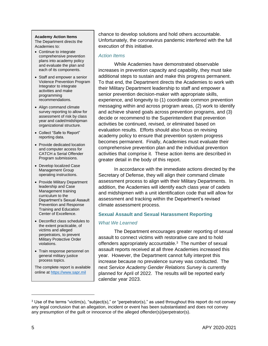#### **Academy Action Items**

The Department directs the Academies to:

- Continue to integrate comprehensive prevention plans into academy policy and evaluate the plan and each of its components.
- Staff and empower a senior Violence Prevention Program Integrator to integrate activities and make programming recommendations.
- Align command climate survey reporting to allow for assessment of risk by class year and cadet/midshipman organizational structure.
- Collect "Safe to Report" reporting data.
- Provide dedicated location and computer access for CATCH a Serial Offender Program submissions.
- Develop localized Case Management Group operating instructions.
- Provide Military Department leadership and Case Management training curriculum to the Department's Sexual Assault Prevention and Response Training and Education Center of Excellence.
- Deconflict class schedules to the extent practicable, of victims and alleged perpetrators, to prevent Military Protective Order violations.
- Train response personnel on general military justice process topics.

The complete report is available online at [https://www.sapr.mil](https://www.sapr.mil/)

chance to develop solutions and hold others accountable. Unfortunately, the coronavirus pandemic interfered with the full execution of this initiative.

### *Action Items*

While Academies have demonstrated observable increases in prevention capacity and capability, they must take additional steps to sustain and make this progress permanent. To that end, the Department directs the Academies to work with their Military Department leadership to staff and empower a senior prevention decision-maker with appropriate skills, experience, and longevity to (1) coordinate common prevention messaging within and across program areas, (2) work to identify and achieve shared goals across prevention programs, and (3) decide or recommend to the Superintendent that prevention activities be continued, revised, or eliminated based on evaluation results. Efforts should also focus on revising academy policy to ensure that prevention system progress becomes permanent. Finally, Academies must evaluate their comprehensive prevention plan and the individual prevention activities that comprise it. These action items are described in greater detail in the body of this report.

In accordance with the immediate actions directed by the Secretary of Defense, they will align their command climate assessment process to align with their Military Departments. In addition, the Academies will identify each class year of cadets and midshipmen with a unit identification code that will allow for assessment and tracking within the Department's revised climate assessment process.

### **Sexual Assault and Sexual Harassment Reporting**

### *What We Learned*

The Department encourages greater reporting of sexual assault to connect victims with restorative care and to hold offenders appropriately accountable.<sup>3</sup> The number of sexual assault reports received at all three Academies increased this year. However, the Department cannot fully interpret this increase because no prevalence survey was conducted. The next *Service Academy Gender Relations Survey* is currently planned for April of 2022. The results will be reported early calendar year 2023.

 $\overline{a}$ 

<sup>&</sup>lt;sup>3</sup> Use of the terms "victim(s), "subject(s)," or "perpetrator(s)," as used throughout this report do not convey any legal conclusion that an allegation, incident or event has been substantiated and does not convey any presumption of the guilt or innocence of the alleged offender(s)/perpetrator(s).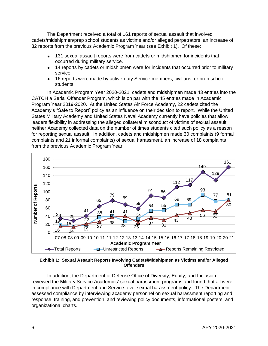The Department received a total of 161 reports of sexual assault that involved cadets/midshipmen/prep school students as victims and/or alleged perpetrators, an increase of 32 reports from the previous Academic Program Year (see [Exhibit 1\)](#page-10-0). Of these:

- 131 sexual assault reports were from cadets or midshipmen for incidents that occurred during military service.
- 14 reports by cadets or midshipmen were for incidents that occurred prior to military service.
- 16 reports were made by active-duty Service members, civilians, or prep school students.

In Academic Program Year 2020-2021, cadets and midshipmen made 43 entries into the CATCH a Serial Offender Program, which is on par with the 45 entries made in Academic Program Year 2019-2020. At the United States Air Force Academy, 22 cadets cited the Academy's "Safe to Report" policy as an influence on their decision to report. While the United States Military Academy and United States Naval Academy currently have policies that allow leaders flexibility in addressing the alleged collateral misconduct of victims of sexual assault, neither Academy collected data on the number of times students cited such policy as a reason for reporting sexual assault. In addition, cadets and midshipmen made 30 complaints (9 formal complaints and 21 informal complaints) of sexual harassment, an increase of 18 complaints from the previous Academic Program Year.



<span id="page-10-0"></span>**Exhibit 1: Sexual Assault Reports Involving Cadets/Midshipmen as Victims and/or Alleged Offenders**

In addition, the Department of Defense Office of Diversity, Equity, and Inclusion reviewed the Military Service Academies' sexual harassment programs and found that all were in compliance with Department and Service-level sexual harassment policy. The Department assessed compliance by interviewing academy personnel on sexual harassment reporting and response, training, and prevention, and reviewing policy documents, informational posters, and organizational charts.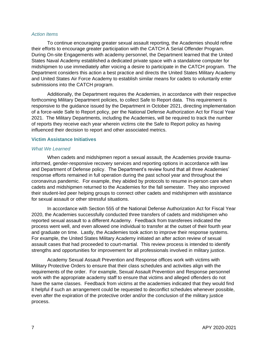#### *Action Items*

To continue encouraging greater sexual assault reporting, the Academies should refine their efforts to encourage greater participation with the CATCH A Serial Offender Program. During On-site Engagements with academy personnel, the Department learned that the United States Naval Academy established a dedicated private space with a standalone computer for midshipmen to use immediately after voicing a desire to participate in the CATCH program. The Department considers this action a best practice and directs the United States Military Academy and United States Air Force Academy to establish similar means for cadets to voluntarily enter submissions into the CATCH program.

Additionally, the Department requires the Academies, in accordance with their respective forthcoming Military Department policies, to collect Safe to Report data. This requirement is responsive to the guidance issued by the Department in October 2021, directing implementation of a force-wide Safe to Report policy, per the National Defense Authorization Act for Fiscal Year 2021. The Military Departments, including the Academies, will be required to track the number of reports they receive each year wherein victims cite the Safe to Report policy as having influenced their decision to report and other associated metrics.

#### **Victim Assistance Initiatives**

#### *What We Learned*

When cadets and midshipmen report a sexual assault, the Academies provide traumainformed, gender-responsive recovery services and reporting options in accordance with law and Department of Defense policy. The Department's review found that all three Academies' response efforts remained in full operation during the past school year and throughout the coronavirus pandemic. For example, they abided by protocols to resume in-person care when cadets and midshipmen returned to the Academies for the fall semester. They also improved their student-led peer helping groups to connect other cadets and midshipmen with assistance for sexual assault or other stressful situations.

In accordance with Section 555 of the National Defense Authorization Act for Fiscal Year 2020, the Academies successfully conducted three transfers of cadets and midshipmen who reported sexual assault to a different Academy. Feedback from transferees indicated the process went well, and even allowed one individual to transfer at the outset of their fourth year and graduate on time. Lastly, the Academies took action to improve their response systems. For example, the United States Military Academy initiated an after action review of sexual assault cases that had proceeded to court-martial. This review process is intended to identify strengths and opportunities for improvement for all professionals involved in military justice.

Academy Sexual Assault Prevention and Response offices work with victims with Military Protective Orders to ensure that their class schedules and activities align with the requirements of the order. For example, Sexual Assault Prevention and Response personnel work with the appropriate academy staff to ensure that victims and alleged offenders do not have the same classes. Feedback from victims at the academies indicated that they would find it helpful if such an arrangement could be requested to deconflict schedules whenever possible, even after the expiration of the protective order and/or the conclusion of the military justice process.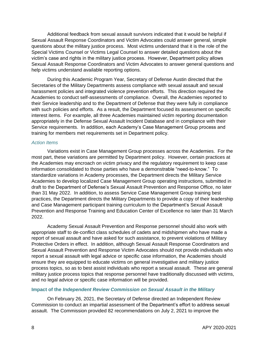Additional feedback from sexual assault survivors indicated that it would be helpful if Sexual Assault Response Coordinators and Victim Advocates could answer general, simple questions about the military justice process. Most victims understand that it is the role of the Special Victims Counsel or Victims Legal Counsel to answer detailed questions about the victim's case and rights in the military justice process. However, Department policy allows Sexual Assault Response Coordinators and Victim Advocates to answer general questions and help victims understand available reporting options.

During this Academic Program Year, Secretary of Defense Austin directed that the Secretaries of the Military Departments assess compliance with sexual assault and sexual harassment policies and integrated violence prevention efforts. This direction required the Academies to conduct self-assessments of compliance. Overall, the Academies reported to their Service leadership and to the Department of Defense that they were fully in compliance with such policies and efforts. As a result, the Department focused its assessment on specific interest items. For example, all three Academies maintained victim reporting documentation appropriately in the Defense Sexual Assault Incident Database and in compliance with their Service requirements. In addition, each Academy's Case Management Group process and training for members met requirements set in Department policy.

#### *Action Items*

Variations exist in Case Management Group processes across the Academies. For the most part, these variations are permitted by Department policy. However, certain practices at the Academies may encroach on victim privacy and the regulatory requirement to keep case information consolidated to those parties who have a demonstrable "need-to-know." To standardize variations in Academy processes, the Department directs the Military Service Academies to develop localized Case Management Group operating instructions, submitted in draft to the Department of Defense's Sexual Assault Prevention and Response Office, no later than 31 May 2022. In addition, to assess Service Case Management Group training best practices, the Department directs the Military Departments to provide a copy of their leadership and Case Management participant training curriculum to the Department's Sexual Assault Prevention and Response Training and Education Center of Excellence no later than 31 March 2022.

Academy Sexual Assault Prevention and Response personnel should also work with appropriate staff to de-conflict class schedules of cadets and midshipmen who have made a report of sexual assault and have asked for such assistance, to prevent violations of Military Protective Orders in effect. In addition, although Sexual Assault Response Coordinators and Sexual Assault Prevention and Response Victim Advocates should not provide individuals who report a sexual assault with legal advice or specific case information, the Academies should ensure they are equipped to educate victims on general investigative and military justice process topics, so as to best assist individuals who report a sexual assault. These are general military justice process topics that response personnel have traditionally discussed with victims, and no legal advice or specific case information will be provided.

### **Impact of the** *Independent Review Commission on Sexual Assault in the Military*

On February 26, 2021, the Secretary of Defense directed an Independent Review Commission to conduct an impartial assessment of the Department's effort to address sexual assault. The Commission provided 82 recommendations on July 2, 2021 to improve the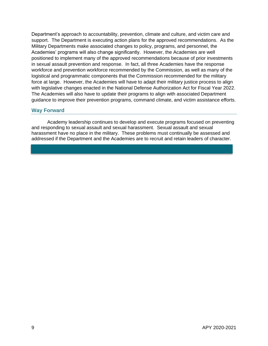Department's approach to accountability, prevention, climate and culture, and victim care and support. The Department is executing action plans for the approved recommendations. As the Military Departments make associated changes to policy, programs, and personnel, the Academies' programs will also change significantly. However, the Academies are well positioned to implement many of the approved recommendations because of prior investments in sexual assault prevention and response. In fact, all three Academies have the response workforce and prevention workforce recommended by the Commission, as well as many of the logistical and programmatic components that the Commission recommended for the military force at large. However, the Academies will have to adapt their military justice process to align with legislative changes enacted in the National Defense Authorization Act for Fiscal Year 2022. The Academies will also have to update their programs to align with associated Department guidance to improve their prevention programs, command climate, and victim assistance efforts.

#### **Way Forward**

Academy leadership continues to develop and execute programs focused on preventing and responding to sexual assault and sexual harassment. Sexual assault and sexual harassment have no place in the military. These problems must continually be assessed and addressed if the Department and the Academies are to recruit and retain leaders of character.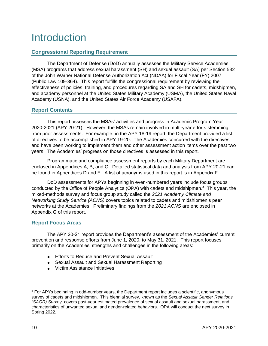## <span id="page-14-0"></span>Introduction

## **Congressional Reporting Requirement**

The Department of Defense (DoD) annually assesses the Military Service Academies' (MSA) programs that address sexual harassment (SH) and sexual assault (SA) per Section 532 of the John Warner National Defense Authorization Act (NDAA) for Fiscal Year (FY) 2007 (Public Law 109-364). This report fulfills the congressional requirement by reviewing the effectiveness of policies, training, and procedures regarding SA and SH for cadets, midshipmen, and academy personnel at the United States Military Academy (USMA), the United States Naval Academy (USNA), and the United States Air Force Academy (USAFA).

## **Report Contents**

This report assesses the MSAs' activities and progress in Academic Program Year 2020-2021 (APY 20-21). However, the MSAs remain involved in multi-year efforts stemming from prior assessments. For example, in the APY 18-19 report, the Department provided a list of directives to be accomplished in APY 19-20. The Academies concurred with the directives and have been working to implement them and other assessment action items over the past two years. The Academies' progress on those directives is assessed in this report.

Programmatic and compliance assessment reports by each Military Department are enclosed in Appendices A, B, and C. Detailed statistical data and analysis from APY 20-21 can be found in Appendices D and E. A list of acronyms used in this report is in Appendix F.

DoD assessments for APYs beginning in even-numbered years include focus groups conducted by the Office of People Analytics (OPA) with cadets and midshipmen.<sup>4</sup> This year, the mixed-methods survey and focus group study called the *2021 Academy Climate and Networking Study Service (ACNS)* covers topics related to cadets and midshipmen's peer networks at the Academies. Preliminary findings from the *2021 ACNS* are enclosed in Appendix G of this report.

### **Report Focus Areas**

The APY 20-21 report provides the Department's assessment of the Academies' current prevention and response efforts from June 1, 2020, to May 31, 2021. This report focuses primarily on the Academies' strengths and challenges in the following areas:

- **Efforts to Reduce and Prevent Sexual Assault**
- Sexual Assault and Sexual Harassment Reporting
- Victim Assistance Initiatives

<sup>4</sup> For APYs beginning in odd-number years, the Department report includes a scientific, anonymous survey of cadets and midshipmen. This biennial survey, known as the *Sexual Assault Gender Relations (SAGR) Survey,* covers past-year estimated prevalence of sexual assault and sexual harassment, and characteristics of unwanted sexual and gender-related behaviors. OPA will conduct the next survey in Spring 2022.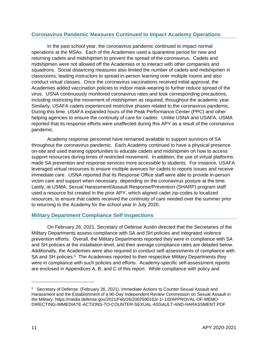## **Coronavirus Pandemic Measures Continued to Impact Academy Operations**

In the past school year, the coronavirus pandemic continued to impact normal operations at the MSAs. Each of the Academies used a quarantine period for new and returning cadets and midshipmen to prevent the spread of the coronavirus. Cadets and midshipmen were not allowed off the Academies or to interact with other companies and squadrons. Social distancing measures also limited the number of cadets and midshipmen in classrooms, leading instructors to spread in-person learning over multiple rooms and also conduct virtual classes. Once the coronavirus vaccinations received initial approval, the Academies added vaccination policies to indoor mask-wearing to further reduce spread of the virus. USNA continuously monitored coronavirus rates and took corresponding precautions, including restricting the movement of midshipmen as required, throughout the academic year. Similarly, USAFA cadets experienced restrictive phases related to the coronavirus pandemic. During this time, USAFA expanded hours of the Peak Performance Center (PPC) and other helping agencies to ensure the continuity of care for cadets. Unlike USNA and USAFA, USMA reported that its response efforts were unaffected during this APY as a result of the coronavirus pandemic.

Academy response personnel have remained available to support survivors of SA throughout the coronavirus pandemic. Each Academy continued to have a physical presence on-site and used training opportunities to educate cadets and midshipmen on how to access support resources during times of restricted movement. In addition, the use of virtual platforms made SA prevention and response services more accessible to students. For instance, USAFA leveraged virtual resources to ensure multiple avenues for cadets to reports issues and receive immediate care. USNA reported that its Response Office staff were able to provide in-person victim care and support when necessary, depending on the coronavirus posture at the time. Lastly, at USMA, Sexual Harassment/Assault Response/Prevention (SHARP) program staff used a resource list created in the prior APY, which aligned cadet zip-codes to localized resources, to ensure that cadets received the continuity of care needed over the summer prior to returning to the Academy for the school year in July 2020.

## **Military Department Compliance Self Inspections**

On February 26, 2021, Secretary of Defense Austin directed that the Secretaries of the Military Departments assess compliance with SA and SH policies and integrated violence prevention efforts. Overall, the Military Departments reported they were in compliance with SA and SH policies at the installation-level, and their average compliance rates are detailed below. Additionally, the Academies were also required to conduct self-assessments of compliance with SA and SH policies.<sup>5</sup> The Academies reported to their respective Military Departments they were in compliance with such policies and efforts. Academy-specific self-assessment reports are enclosed in Appendices A, B, and C of this report. While compliance with policy and

<sup>5</sup> Secretary of Defense. (February 26, 2021). Immediate Actions to Counter Sexual Assault and Harassment and the Establishment of a 90-Day Independent Review Commission on Sexual Assault in the Military. https://media.defense.gov/2021/Feb/26/2002590163/-1/-1/0/APPROVAL-OF-MEMO-DIRECTING-IMMEDIATE-ACTIONS-TO-COUNTER-SEXUAL-ASSAULT-AND-HARASSMENT.PDF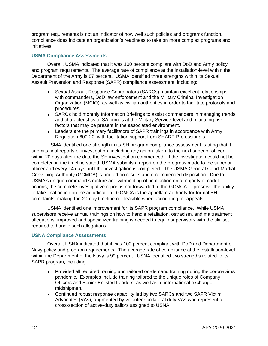program requirements is not an indicator of how well such policies and programs function, compliance does indicate an organization's readiness to take on more complex programs and initiatives.

#### **USMA Compliance Assessments**

Overall, USMA indicated that it was 100 percent compliant with DoD and Army policy and program requirements. The average rate of compliance at the installation-level within the Department of the Army is 87 percent. USMA identified three strengths within its Sexual Assault Prevention and Response (SAPR) compliance assessment, including:

- $\bullet$ Sexual Assault Response Coordinators (SARCs) maintain excellent relationships with commanders, DoD law enforcement and the Military Criminal Investigation Organization (MCIO), as well as civilian authorities in order to facilitate protocols and procedures.
- SARCs hold monthly Information Briefings to assist commanders in managing trends and characteristics of SA crimes at the Military Service-level and mitigating risk factors that may be present in the associated environment.
- Leaders are the primary facilitators of SAPR trainings in accordance with Army Regulation 600-20, with facilitation support from SHARP Professionals.

USMA identified one strength in its SH program compliance assessment, stating that it submits final reports of investigation, including any action taken, to the next superior officer within 20 days after the date the SH investigation commenced. If the investigation could not be completed in the timeline stated, USMA submits a report on the progress made to the superior officer and every 14 days until the investigation is completed. The USMA General Court-Martial Convening Authority (GCMCA) is briefed on results and recommended disposition. Due to USMA's unique command structure and withholding of final action on a majority of cadet actions, the complete investigative report is not forwarded to the GCMCA to preserve the ability to take final action on the adjudication. GCMCA is the appellate authority for formal SH complaints, making the 20-day timeline not feasible when accounting for appeals.

USMA identified one improvement for its SAPR program compliance. While USMA supervisors receive annual trainings on how to handle retaliation, ostracism, and maltreatment allegations, improved and specialized training is needed to equip supervisors with the skillset required to handle such allegations.

#### **USNA Compliance Assessments**

Overall, USNA indicated that it was 100 percent compliant with DoD and Department of Navy policy and program requirements. The average rate of compliance at the installation-level within the Department of the Navy is 99 percent. USNA identified two strengths related to its SAPR program, including:

- Provided all required training and tailored on-demand training during the coronavirus pandemic. Examples include training tailored to the unique roles of Company Officers and Senior Enlisted Leaders, as well as to international exchange midshipmen.
- Continued robust response capability led by two SARCs and two SAPR Victim Advocates (VAs), augmented by volunteer collateral duty VAs who represent a cross-section of active-duty sailors assigned to USNA.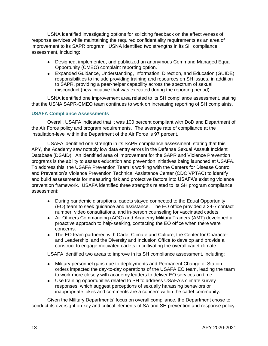USNA identified investigating options for soliciting feedback on the effectiveness of response services while maintaining the required confidentiality requirements as an area of improvement to its SAPR program. USNA identified two strengths in its SH compliance assessment, including:

- Designed, implemented, and publicized an anonymous Command Managed Equal Opportunity (CMEO) complaint reporting option.
- Expanded Guidance, Understanding, Information, Direction, and Education (GUIDE) responsibilities to include providing training and resources on SH issues, in addition to SAPR, providing a peer-helper capability across the spectrum of sexual misconduct (new initiative that was executed during the reporting period).

USNA identified one improvement area related to its SH compliance assessment, stating that the USNA SAPR-CMEO team continues to work on increasing reporting of SH complaints.

### **USAFA Compliance Assessments**

Overall, USAFA indicated that it was 100 percent compliant with DoD and Department of the Air Force policy and program requirements. The average rate of compliance at the installation-level within the Department of the Air Force is 97 percent.

USAFA identified one strength in its SAPR compliance assessment, stating that this APY, the Academy saw notably low data entry errors in the Defense Sexual Assault Incident Database (DSAID). An identified area of improvement for the SAPR and Violence Prevention programs is the ability to assess education and prevention initiatives being launched at USAFA. To address this, the USAFA Prevention Team is working with the Centers for Disease Control and Prevention's Violence Prevention Technical Assistance Center (CDC VPTAC) to identify and build assessments for measuring risk and protective factors into USAFA's existing violence prevention framework. USAFA identified three strengths related to its SH program compliance assessment:

- During pandemic disruptions, cadets stayed connected to the Equal Opportunity (EO) team to seek guidance and assistance. The EO office provided a 24-7 contact number, video consultations, and in-person counseling for vaccinated cadets.
- Air Officers Commanding (AOC) and Academy Military Trainers (AMT) developed a proactive approach to help-seeking, contacting the EO office when there were concerns.
- The EO team partnered with Cadet Climate and Culture, the Center for Character and Leadership, and the Diversity and Inclusion Office to develop and provide a construct to engage motivated cadets in cultivating the overall cadet climate.

USAFA identified two areas to improve in its SH compliance assessment, including:

- Military personnel gaps due to deployments and Permanent Change of Station orders impacted the day-to-day operations of the USAFA EO team, leading the team to work more closely with academy leaders to deliver EO services on time.
- Use training opportunities related to SH to address USAFA's climate survey responses, which suggest perceptions of sexually harassing behaviors or inappropriate jokes and comments are a concern within the cadet community.

Given the Military Departments' focus on overall compliance, the Department chose to conduct its oversight on key and critical elements of SA and SH prevention and response policy.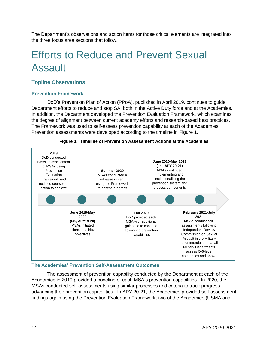The Department's observations and action items for those critical elements are integrated into the three focus area sections that follow.

## <span id="page-18-0"></span>Efforts to Reduce and Prevent Sexual Assault

## **Topline Observations**

## **Prevention Framework**

DoD's Prevention Plan of Action (PPoA), published in April 2019, continues to guide Department efforts to reduce and stop SA, both in the Active Duty force and at the Academies. In addition, the Department developed the Prevention Evaluation Framework, which examines the degree of alignment between current academy efforts and research-based best practices. The Framework was used to self-assess prevention capability at each of the Academies. Prevention assessments were developed according to the timeline in [Figure 1.](#page-18-1)



<span id="page-18-1"></span>

## **The Academies' Prevention Self-Assessment Outcomes**

The assessment of prevention capability conducted by the Department at each of the Academies in 2019 provided a baseline of each MSA's prevention capabilities. In 2020, the MSAs conducted self-assessments using similar processes and criteria to track progress advancing their prevention capabilities. In APY 20-21, the Academies provided self-assessment findings again using the Prevention Evaluation Framework; two of the Academies (USMA and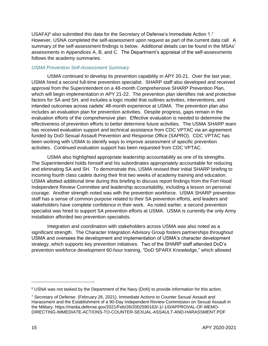USAFA) $6$  also submitted this data for the Secretary of Defense's Immediate Action 1.7 However, USNA completed the self-assessment upon request as part of the current data call. A summary of the self-assessment findings is below. Additional details can be found in the MSAs' assessments in Appendices A, B, and C. The Department's appraisal of the self-assessments follows the academy summaries.

## *USMA Prevention Self-Assessment Summary*

USMA continued to develop its prevention capability in APY 20-21. Over the last year, USMA hired a second full-time prevention specialist. SHARP staff also developed and received approval from the Superintendent on a 48-month Comprehensive SHARP Prevention Plan, which will begin implementation in APY 21-22. The prevention plan identifies risk and protective factors for SA and SH, and includes a logic model that outlines activities, interventions, and intended outcomes across cadets' 48-month experience at USMA. The prevention plan also includes an evaluation plan for prevention activities. Despite progress, gaps remain in the evaluation efforts of the comprehensive plan. Effective evaluation is needed to determine the effectiveness of prevention efforts to better determine future activities. The USMA SHARP team has received evaluation support and technical assistance from CDC VPTAC via an agreement funded by DoD Sexual Assault Prevention and Response Office (SAPRO). CDC VPTAC has been working with USMA to identify ways to improve assessment of specific prevention activities. Continued evaluation support has been requested from CDC VPTAC.

USMA also highlighted appropriate leadership accountability as one of its strengths. The Superintendent holds himself and his subordinates appropriately accountable for reducing and eliminating SA and SH. To demonstrate this, USMA revised their initial SHARP briefing to incoming fourth class cadets during their first two weeks of academy training and education. USMA allotted additional time during this briefing to discuss report findings from the Fort Hood Independent Review Committee and leadership accountability, including a lesson on personal courage. Another strength noted was with the prevention workforce. USMA SHARP prevention staff has a sense of common purpose related to their SA prevention efforts, and leaders and stakeholders have complete confidence in their work. As noted earlier, a second prevention specialist was hired to support SA prevention efforts at USMA. USMA is currently the only Army installation afforded two prevention specialists.

Integration and coordination with stakeholders across USMA was also noted as a significant strength. The Character Integration Advisory Group fosters partnerships throughout USMA and oversees the development and implementation of USMA's character development strategy, which supports key prevention initiatives. Two of the SHARP staff attended DoD's prevention workforce development 60-hour training, "DoD SPARX Knowledge," which allowed

<sup>&</sup>lt;sup>6</sup> USNA was not tasked by the Department of the Navy (DoN) to provide information for this action.

<sup>7</sup> Secretary of Defense. (February 26, 2021). Immediate Actions to Counter Sexual Assault and Harassment and the Establishment of a 90-Day Independent Review Commission on Sexual Assault in the Military. https://media.defense.gov/2021/Feb/26/2002590163/-1/-1/0/APPROVAL-OF-MEMO-DIRECTING-IMMEDIATE-ACTIONS-TO-COUNTER-SEXUAL-ASSAULT-AND-HARASSMENT.PDF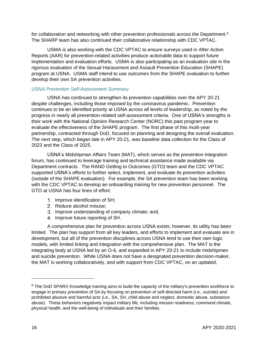for collaboration and networking with other prevention professionals across the Department.<sup>8</sup> The SHARP team has also continued their collaborative relationship with CDC VPTAC.

USMA is also working with the CDC VPTAC to ensure surveys used in After Action Reports (AAR) for prevention-related activities produce actionable data to support future implementation and evaluation efforts. USMA is also participating as an evaluation site in the rigorous evaluation of the Sexual Harassment and Assault Prevention Education (SHAPE) program at USNA. USMA staff intend to use outcomes from the SHAPE evaluation to further develop their own SA prevention activities.

## *USNA Prevention Self-Assessment Summary*

USNA has continued to strengthen its prevention capabilities over the APY 20-21 despite challenges, including those imposed by the coronavirus pandemic. Prevention continues to be an identified priority at USNA across all levels of leadership, as noted by the progress in nearly all prevention-related self-assessment criteria. One of USNA's strengths is their work with the National Opinion Research Center (NORC) this past program year to evaluate the effectiveness of the SHAPE program. The first phase of this multi-year partnership, contracted through DoD, focused on planning and designing the overall evaluation. The next step, which began late in APY 20-21, was baseline data collection for the Class of 2023 and the Class of 2025.

USNA's Midshipman Affairs Team (MAT), which serves as the prevention integration forum, has continued to leverage training and technical assistance made available via Department contracts. The RAND Getting to Outcomes (GTO) team and the CDC VPTAC supported USNA's efforts to further select, implement, and evaluate its prevention activities (outside of the SHAPE evaluation). For example, the SA prevention team has been working with the CDC VPTAC to develop an onboarding training for new prevention personnel. The GTO at USNA has four lines of effort:

- 1. Improve identification of SH:
- 2. Reduce alcohol misuse;
- 3. Improve understanding of company climate; and,
- 4. Improve future reporting of SH.

A comprehensive plan for prevention across USNA exists; however, its utility has been limited. The plan has support from all key leaders, and efforts to implement and evaluate are in development, but all of the prevention disciplines across USNA tend to use their own logic models, with limited linking and integration with the comprehensive plan. The MAT is the integrating body at USNA led by an O-6, and expanded in APY 20-21 to include midshipmen and suicide prevention. While USNA does not have a designated prevention decision-maker, the MAT is working collaboratively, and with support from CDC VPTAC, on an updated,

 $\overline{a}$ 

<sup>&</sup>lt;sup>8</sup> The DoD SPARX Knowledge training aims to build the capacity of the military's prevention workforce to engage in primary prevention of SA by focusing on prevention of self-directed harm (i.e., suicide) and prohibited abusive and harmful acts (i.e., SA, SH, child abuse and neglect, domestic abuse, substance abuse). These behaviors negatively impact military life, including mission readiness, command climate, physical health, and the well-being of individuals and their families.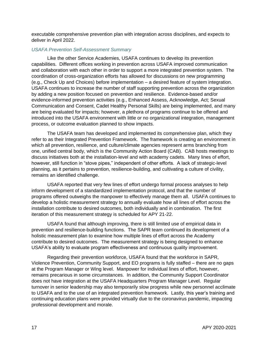executable comprehensive prevention plan with integration across disciplines, and expects to deliver in April 2022.

#### *USAFA Prevention Self-Assessment Summary*

Like the other Service Academies, USAFA continues to develop its prevention capabilities. Different offices working in prevention across USAFA improved communication and collaboration with each other in order to support a more integrated prevention system. The coordination of cross-organization efforts has allowed for discussions on new programming (e.g., Check Up and Choices) before implementation – a desired feature of system integration. USAFA continues to increase the number of staff supporting prevention across the organization by adding a new position focused on prevention and resilience. Evidence-based and/or evidence-informed prevention activities (e.g., Enhanced Assess, Acknowledge, Act; Sexual Communication and Consent, Cadet Healthy Personal Skills) are being implemented, and many are being evaluated for impacts; however, a plethora of programs continue to be offered and introduced into the USAFA environment with little or no organizational integration, management process, or outcome evaluation planned to show impacts.

The USAFA team has developed and implemented its comprehensive plan, which they refer to as their Integrated Prevention Framework. The framework is creating an environment in which all prevention, resilience, and culture/climate agencies represent arms branching from one, unified central body, which is the Community Action Board (CAB). CAB hosts meetings to discuss initiatives both at the installation-level and with academy cadets. Many lines of effort, however, still function in "stove pipes," independent of other efforts. A lack of strategic-level planning, as it pertains to prevention, resilience-building, and cultivating a culture of civility, remains an identified challenge.

USAFA reported that very few lines of effort undergo formal process analyses to help inform development of a standardized implementation protocol, and that the number of programs offered outweighs the manpower to effectively manage them all. USAFA continues to develop a holistic measurement strategy to annually evaluate how all lines of effort across the installation contribute to desired outcomes, both individually and in combination. The first iteration of this measurement strategy is scheduled for APY 21-22.

USAFA found that although improving, there is still limited use of empirical data in prevention and resilience-building functions. The SAPR team continued its development of a holistic measurement plan to examine how multiple lines of effort across the Academy contribute to desired outcomes. The measurement strategy is being designed to enhance USAFA's ability to evaluate program effectiveness and continuous quality improvement.

Regarding their prevention workforce, USAFA found that the workforce in SAPR, Violence Prevention, Community Support, and EO programs is fully staffed – there are no gaps at the Program Manager or Wing level. Manpower for individual lines of effort, however, remains precarious in some circumstances. In addition, the Community Support Coordinator does not have integration at the USAFA Headquarters Program Manager Level. Regular turnover in senior leadership may also temporarily slow progress while new personnel acclimate to USAFA and to the use of an integrated prevention framework. Lastly, this year's training and continuing education plans were provided virtually due to the coronavirus pandemic, impacting professional development and morale.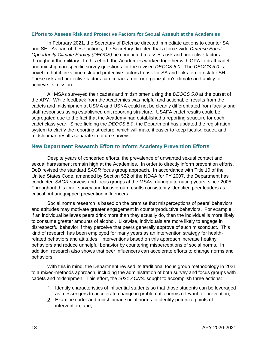#### **Efforts to Assess Risk and Protective Factors for Sexual Assault at the Academies**

In February 2021, the Secretary of Defense directed immediate actions to counter SA and SH. As part of these actions, the Secretary directed that a force-wide *Defense Equal Opportunity Climate Survey (DEOCS)* be conducted to assess risk and protective factors throughout the military. In this effort, the Academies worked together with OPA to draft cadet and midshipman-specific survey questions for the revised *DEOCS 5.0*. The *DEOCS 5.0* is novel in that it links nine risk and protective factors to risk for SA and links ten to risk for SH. These risk and protective factors can impact a unit or organization's climate and ability to achieve its mission.

All MSAs surveyed their cadets and midshipmen using the *DEOCS 5.0* at the outset of the APY. While feedback from the Academies was helpful and actionable, results from the cadets and midshipmen at USMA and USNA could not be cleanly differentiated from faculty and staff responses using established unit reporting structure. USAFA cadet results could be segregated due to the fact that the Academy had established a reporting structure for each cadet class year. Since fielding the *DEOCS 5.0*, the Department has updated the registration system to clarify the reporting structure, which will make it easier to keep faculty, cadet, and midshipman results separate in future surveys.

### **New Department Research Effort to Inform Academy Prevention Efforts**

Despite years of concerted efforts, the prevalence of unwanted sexual contact and sexual harassment remain high at the Academies. In order to directly inform prevention efforts, DoD revised the standard *SAGR* focus group approach. In accordance with Title 10 of the United States Code, amended by Section 532 of the NDAA for FY 2007, the Department has conducted *SAGR* surveys and focus groups at the MSAs, during alternating years, since 2005. Throughout this time, survey and focus group results consistently identified peer leaders as critical but unequipped prevention influencers.

Social norms research is based on the premise that misperceptions of peers' behaviors and attitudes may motivate greater engagement in counterproductive behaviors. For example, if an individual believes peers drink more than they actually do, then the individual is more likely to consume greater amounts of alcohol. Likewise, individuals are more likely to engage in disrespectful behavior if they perceive that peers generally approve of such misconduct. This kind of research has been employed for many years as an intervention strategy for healthrelated behaviors and attitudes. Interventions based on this approach increase healthy behaviors and reduce unhelpful behavior by countering misperceptions of social norms. In addition, research also shows that peer influencers can accelerate efforts to change norms and behaviors.

With this in mind, the Department revised its traditional focus group methodology in 2021 to a mixed-methods approach, including the administration of both survey and focus groups with cadets and midshipmen. This effort, the *2021 ACNS,* sought to accomplish three actions:

- 1. Identify characteristics of influential students so that those students can be leveraged as messengers to accelerate change in problematic norms relevant for prevention;
- Examine cadet and midshipman social norms to identify potential points of intervention; and,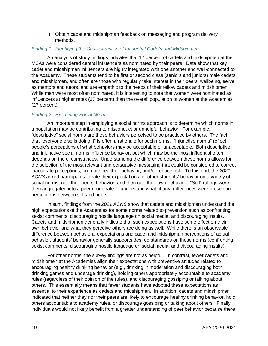Obtain cadet and midshipman feedback on messaging and program delivery methods.

#### *Finding 1: Identifying the Characteristics of Influential Cadets and Midshipmen*

An analysis of study findings indicates that 17 percent of cadets and midshipmen at the MSAs were considered central influencers as nominated by their peers. Data show that key cadet and midshipman influencers are highly integrated with one another and well-connected to the Academy. These students tend to be first or second class (seniors and juniors) male cadets and midshipmen, and often are those who regularly take interest in their peers' wellbeing, serve as mentors and tutors, and are empathic to the needs of their fellow cadets and midshipmen. While men were most often nominated, it is interesting to note that women were nominated as influencers at higher rates (37 percent) than the overall population of women at the Academies (27 percent).

#### *Finding 2: Examining Social Norms*

An important step in employing a social norms approach is to determine which norms in a population may be contributing to misconduct or unhelpful behavior. For example, "descriptive" social norms are those behaviors perceived to be practiced by others. The fact that "everyone else is doing it" is often a rationale for such norms. "Injunctive norms" reflect people's perceptions of what behaviors may be acceptable or unacceptable. Both descriptive and injunctive social norms influence behavior, but which may be the most influential often depends on the circumstances. Understanding the difference between these norms allows for the selection of the most relevant and persuasive messaging that could be considered to correct inaccurate perceptions, promote healthier behavior, and/or reduce risk. To this end, the *2021 ACNS* asked participants to rate their expectations for other students' behavior on a variety of social norms, rate their peers' behavior, and then rate their own behavior. "Self" ratings were then aggregated into a peer group rate to understand what, if any, differences were present in perceptions between self and peers.

In sum, findings from the *2021 ACNS* show that cadets and midshipmen understand the high expectations of the Academies for some norms related to prevention such as confronting sexist comments, discouraging hostile language on social media, and discouraging insults. Cadets and midshipmen generally indicate that such expectations have some effect on their own behavior and what they perceive others are doing as well. While there is an observable difference between behavioral expectations and cadet and midshipman perceptions of actual behavior, students' behavior generally supports desired standards on these norms (confronting sexist comments, discouraging hostile language on social media, and discouraging insults).

For other norms, the survey findings are not as helpful. In contrast, fewer cadets and midshipmen at the Academies align their expectations with preventive attitudes related to encouraging healthy drinking behavior (e.g., drinking in moderation and discouraging both drinking games and underage drinking), holding others appropriately accountable to academy rules (regardless of their opinion of the rules), and discouraging gossiping or talking about others. This essentially means that fewer students have adopted these expectations as essential to their experience as cadets and midshipmen. In addition, cadets and midshipmen indicated that neither they nor their peers are likely to encourage healthy drinking behavior, hold others accountable to academy rules, or discourage gossiping or talking about others. Finally, individuals would not likely benefit from a greater understanding of peer behavior because there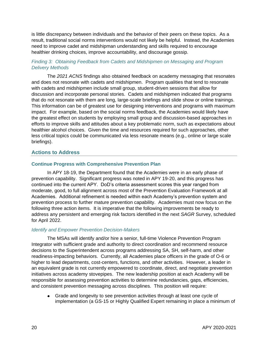is little discrepancy between individuals and the behavior of their peers on these topics. As a result, traditional social norms interventions would not likely be helpful. Instead, the Academies need to improve cadet and midshipman understanding and skills required to encourage healthier drinking choices, improve accountability, and discourage gossip.

## *Finding 3: Obtaining Feedback from Cadets and Midshipmen on Messaging and Program Delivery Methods*

The *2021 ACNS* findings also obtained feedback on academy messaging that resonates and does not resonate with cadets and midshipmen. Program qualities that tend to resonate with cadets and midshipmen include small group, student-driven sessions that allow for discussion and incorporate personal stories. Cadets and midshipmen indicated that programs that do not resonate with them are long, large-scale briefings and slide show or online trainings. This information can be of greatest use for designing interventions and programs with maximum impact. For example, based on the social norms feedback, the Academies would likely have the greatest effect on students by employing small group and discussion-based approaches in efforts to improve skills and attitudes about a key problematic norm, such as expectations about healthier alcohol choices. Given the time and resources required for such approaches, other less critical topics could be communicated via less resonate means (e.g., online or large scale briefings).

## **Actions to Address**

### **Continue Progress with Comprehensive Prevention Plan**

In APY 18-19, the Department found that the Academies were in an early phase of prevention capability. Significant progress was noted in APY 19-20, and this progress has continued into the current APY. DoD's criteria assessment scores this year ranged from moderate, good, to full alignment across most of the Prevention Evaluation Framework at all Academies. Additional refinement is needed within each Academy's prevention system and prevention process to further mature prevention capability. Academies must now focus on the following three action items. It is imperative that the following improvements be ready to address any persistent and emerging risk factors identified in the next *SAGR* Survey, scheduled for April 2022.

#### *Identify and Empower Prevention Decision-Makers*

The MSAs will identify and/or hire a senior, full-time Violence Prevention Program Integrator with sufficient grade and authority to direct coordination and recommend resource decisions to the Superintendent across programs addressing SA, SH, self-harm, and other readiness-impacting behaviors. Currently, all Academies place officers in the grade of O-6 or higher to lead departments, cost-centers, functions, and other activities. However, a leader in an equivalent grade is not currently empowered to coordinate, direct, and negotiate prevention initiatives across academy stovepipes. The new leadership position at each Academy will be responsible for assessing prevention activities to determine redundancies, gaps, efficiencies, and consistent prevention messaging across disciplines. This position will require:

Grade and longevity to see prevention activities through at least one cycle of implementation (a GS-15 or Highly Qualified Expert remaining in place a minimum of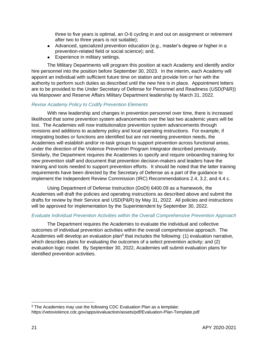three to five years is optimal, an O-6 cycling in and out on assignment or retirement after two to three years is not suitable);

- Advanced, specialized prevention education (e.g., master's degree or higher in a prevention-related field or social science); and,
- Experience in military settings.

The Military Departments will program this position at each Academy and identify and/or hire personnel into the position before September 30, 2023. In the interim, each Academy will appoint an individual with sufficient future time on station and provide him or her with the authority to perform such duties as described until the new hire is in place. Appointment letters are to be provided to the Under Secretary of Defense for Personnel and Readiness (USD(P&R)) via Manpower and Reserve Affairs Military Department leadership by March 31, 2022.

### *Revise Academy Policy to Codify Prevention Elements*

With new leadership and changes in prevention personnel over time, there is increased likelihood that some prevention system advancements over the last two academic years will be lost. The Academies will now institutionalize prevention system advancements through revisions and additions to academy policy and local operating instructions. For example, if integrating bodies or functions are identified but are not meeting prevention needs, the Academies will establish and/or re-task groups to support prevention across functional areas, under the direction of the Violence Prevention Program Integrator described previously. Similarly, the Department requires the Academies to specify and require onboarding training for new prevention staff and document that prevention decision-makers and leaders have the training and tools needed to support prevention efforts. It should be noted that the latter training requirements have been directed by the Secretary of Defense as a part of the guidance to implement the Independent Review Commission (IRC) Recommendations 2.4, 3.2, and 4.4 c.

Using Department of Defense Instruction (DoDI) 6400.09 as a framework, the Academies will draft the policies and operating instructions as described above and submit the drafts for review by their Service and USD(P&R) by May 31, 2022. All policies and instructions will be approved for implementation by the Superintendent by September 30, 2022.

#### *Evaluate Individual Prevention Activities within the Overall Comprehensive Prevention Approach*

The Department requires the Academies to evaluate the individual and collective outcomes of individual prevention activities within the overall comprehensive approach. The Academies will develop an evaluation plan<sup>9</sup> that includes the following: (1) evaluation narrative, which describes plans for evaluating the outcomes of a select prevention activity; and (2) evaluation logic model. By September 30, 2022, Academies will submit evaluation plans for identified prevention activities.

<sup>&</sup>lt;sup>9</sup> The Academies may use the following CDC Evaluation Plan as a template: https://vetoviolence.cdc.gov/apps/evaluaction/assets/pdf/Evaluation-Plan-Template.pdf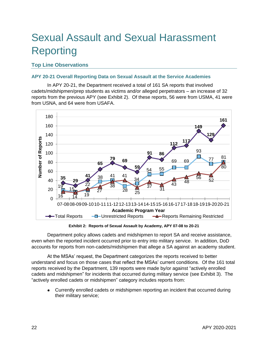# <span id="page-26-0"></span>Sexual Assault and Sexual Harassment Reporting

## **Top Line Observations**

## **APY 20-21 Overall Reporting Data on Sexual Assault at the Service Academies**

In APY 20-21, the Department received a total of 161 SA reports that involved cadets/midshipmen/prep students as victims and/or alleged perpetrators – an increase of 32 reports from the previous APY (see [Exhibit 2\)](#page-26-1). Of these reports, 56 were from USMA, 41 were from USNA, and 64 were from USAFA.



**Exhibit 2: Reports of Sexual Assault by Academy, APY 07-08 to 20-21**

<span id="page-26-1"></span>Department policy allows cadets and midshipmen to report SA and receive assistance, even when the reported incident occurred prior to entry into military service. In addition, DoD accounts for reports from non-cadets/midshipmen that allege a SA against an academy student.

At the MSAs' request, the Department categorizes the reports received to better understand and focus on those cases that reflect the MSAs' current conditions. Of the 161 total reports received by the Department, 139 reports were made by/or against "actively enrolled cadets and midshipmen" for incidents that occurred during military service (see [Exhibit](#page-28-0) 3). The "actively enrolled cadets or midshipmen" category includes reports from:

Currently enrolled cadets or midshipmen reporting an incident that occurred during their military service;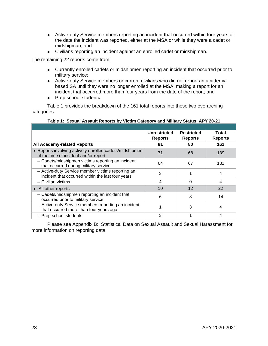- Active-duty Service members reporting an incident that occurred within four years of the date the incident was reported, either at the MSA or while they were a cadet or midshipman; and
- Civilians reporting an incident against an enrolled cadet or midshipman.

The remaining 22 reports come from:

- Currently enrolled cadets or midshipmen reporting an incident that occurred prior to military service;
- Active-duty Service members or current civilians who did not report an academybased SA until they were no longer enrolled at the MSA, making a report for an incident that occurred more than four years from the date of the report; and
- Prep school students.

[Table 1](#page-27-0) provides the breakdown of the 161 total reports into these two overarching categories.

<span id="page-27-0"></span>

|                                                                                                        | Unrestricted<br><b>Reports</b> | <b>Restricted</b><br><b>Reports</b> | Total<br><b>Reports</b> |
|--------------------------------------------------------------------------------------------------------|--------------------------------|-------------------------------------|-------------------------|
| <b>All Academy-related Reports</b>                                                                     | 81                             | 80                                  | 161                     |
| • Reports involving actively enrolled cadets/midshipmen<br>at the time of incident and/or report       | 71                             | 68                                  | 139                     |
| - Cadets/midshipmen victims reporting an incident<br>that occurred during military service             | 64                             | 67                                  | 131                     |
| - Active-duty Service member victims reporting an<br>incident that occurred within the last four years | 3                              |                                     | 4                       |
| - Civilian victims                                                                                     | 4                              | ∩                                   | 4                       |
| • All other reports                                                                                    | 10                             | 12                                  | 22                      |
| - Cadets/midshipmen reporting an incident that<br>occurred prior to military service                   | 6                              | 8                                   | 14                      |
| - Active-duty Service members reporting an incident<br>that occurred more than four years ago          |                                | З                                   | 4                       |
| - Prep school students                                                                                 | 3                              |                                     |                         |

**Table 1: Sexual Assault Reports by Victim Category and Military Status, APY 20-21**

Please see Appendix B: Statistical Data on Sexual Assault and Sexual Harassment for more information on reporting data.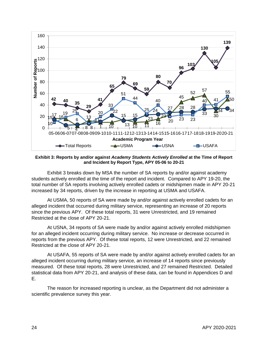

<span id="page-28-0"></span>**Exhibit 3: Reports by and/or against** *Academy Students Actively Enrolled* **at the Time of Report and Incident by Report Type, APY 05-06 to 20-21**

[Exhibit](#page-28-0) 3 breaks down by MSA the number of SA reports by and/or against academy students actively enrolled at the time of the report and incident. Compared to APY 19-20, the total number of SA reports involving actively enrolled cadets or midshipmen made in APY 20-21 increased by 34 reports, driven by the increase in reporting at USMA and USAFA.

At USMA, 50 reports of SA were made by and/or against actively enrolled cadets for an alleged incident that occurred during military service, representing an increase of 20 reports since the previous APY. Of these total reports, 31 were Unrestricted, and 19 remained Restricted at the close of APY 20-21.

At USNA, 34 reports of SA were made by and/or against actively enrolled midshipmen for an alleged incident occurring during military service. No increase or decrease occurred in reports from the previous APY. Of these total reports, 12 were Unrestricted, and 22 remained Restricted at the close of APY 20-21.

At USAFA, 55 reports of SA were made by and/or against actively enrolled cadets for an alleged incident occurring during military service, an increase of 14 reports since previously measured. Of these total reports, 28 were Unrestricted, and 27 remained Restricted. Detailed statistical data from APY 20-21, and analysis of these data, can be found in Appendices D and E.

The reason for increased reporting is unclear, as the Department did not administer a scientific prevalence survey this year.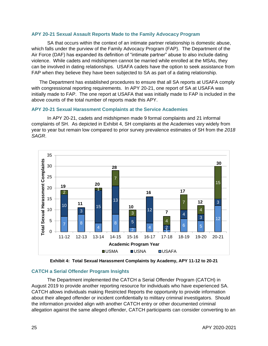#### **APY 20-21 Sexual Assault Reports Made to the Family Advocacy Program**

SA that occurs within the context of an intimate partner relationship is domestic abuse, which falls under the purview of the Family Advocacy Program (FAP). The Department of the Air Force (DAF) has expanded its definition of "intimate partner" abuse to also include dating violence. While cadets and midshipmen cannot be married while enrolled at the MSAs, they can be involved in dating relationships. USAFA cadets have the option to seek assistance from FAP when they believe they have been subjected to SA as part of a dating relationship.

The Department has established procedures to ensure that all SA reports at USAFA comply with congressional reporting requirements. In APY 20-21, one report of SA at USAFA was initially made to FAP. The one report at USAFA that was initially made to FAP is included in the above counts of the total number of reports made this APY.

### **APY 20-21 Sexual Harassment Complaints at the Service Academies**

In APY 20-21, cadets and midshipmen made 9 formal complaints and 21 informal complaints of SH. As depicted in [Exhibit 4,](#page-29-0) SH complaints at the Academies vary widely from year to year but remain low compared to prior survey prevalence estimates of SH from the *2018 SAGR*.



**Exhibit 4: Total Sexual Harassment Complaints by Academy, APY 11-12 to 20-21**

### <span id="page-29-0"></span>**CATCH a Serial Offender Program Insights**

The Department implemented the CATCH a Serial Offender Program (CATCH) in August 2019 to provide another reporting resource for individuals who have experienced SA. CATCH allows individuals making Restricted Reports the opportunity to provide information about their alleged offender or incident confidentially to military criminal investigators. Should the information provided align with another CATCH entry or other documented criminal allegation against the same alleged offender, CATCH participants can consider converting to an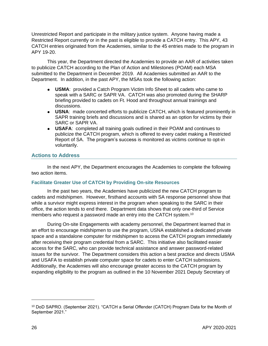Unrestricted Report and participate in the military justice system. Anyone having made a Restricted Report currently or in the past is eligible to provide a CATCH entry. This APY, 43 CATCH entries originated from the Academies, similar to the 45 entries made to the program in APY 19-20.

This year, the Department directed the Academies to provide an AAR of activities taken to publicize CATCH according to the Plan of Action and Milestones (POAM) each MSA submitted to the Department in December 2019. All Academies submitted an AAR to the Department. In addition, in the past APY, the MSAs took the following action:

- **USMA**: provided a Catch Program Victim Info Sheet to all cadets who came to speak with a SARC or SAPR VA. CATCH was also promoted during the SHARP briefing provided to cadets on Ft. Hood and throughout annual trainings and discussions.
- **USNA**: made concerted efforts to publicize CATCH, which is featured prominently in SAPR training briefs and discussions and is shared as an option for victims by their SARC or SAPR VA.
- **USAFA**: completed all training goals outlined in their POAM and continues to publicize the CATCH program, which is offered to every cadet making a Restricted Report of SA. The program's success is monitored as victims continue to opt-in voluntarily.

## **Actions to Address**

In the next APY, the Department encourages the Academies to complete the following two action items.

### **Facilitate Greater Use of CATCH by Providing On-site Resources**

In the past two years, the Academies have publicized the new CATCH program to cadets and midshipmen. However, firsthand accounts with SA response personnel show that while a survivor might express interest in the program when speaking to the SARC in their office, the action tends to end there. Department data shows that only one-third of Service members who request a password made an entry into the CATCH system. 10

During On-site Engagements with academy personnel, the Department learned that in an effort to encourage midshipmen to use the program, USNA established a dedicated private space and a standalone computer for midshipmen to access the CATCH program immediately after receiving their program credential from a SARC. This initiative also facilitated easier access for the SARC, who can provide technical assistance and answer password-related issues for the survivor. The Department considers this action a best practice and directs USMA and USAFA to establish private computer space for cadets to enter CATCH submissions. Additionally, the Academies will also encourage greater access to the CATCH program by expanding eligibility to the program as outlined in the 10 November 2021 Deputy Secretary of

<sup>&</sup>lt;sup>10</sup> DoD SAPRO. (September 2021). "CATCH a Serial Offender (CATCH) Program Data for the Month of September 2021."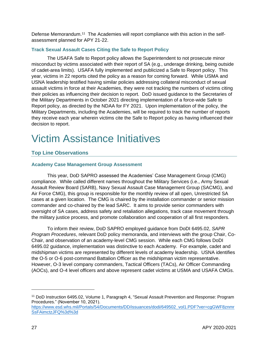Defense Memorandum.<sup>11</sup> The Academies will report compliance with this action in the selfassessment planned for APY 21-22.

## **Track Sexual Assault Cases Citing the Safe to Report Policy**

The USAFA Safe to Report policy allows the Superintendent to not prosecute minor misconduct by victims associated with their report of SA (e.g., underage drinking, being outside of cadet-area limits). USAFA fully implemented and publicized a Safe to Report policy. This year, victims in 22 reports cited the policy as a reason for coming forward. While USMA and USNA leadership testified having similar policies addressing collateral misconduct of sexual assault victims in force at their Academies, they were not tracking the numbers of victims citing their policies as influencing their decision to report. DoD issued guidance to the Secretaries of the Military Departments in October 2021 directing implementation of a force-wide Safe to Report policy, as directed by the NDAA for FY 2021. Upon implementation of the policy, the Military Departments, including the Academies, will be required to track the number of reports they receive each year wherein victims cite the Safe to Report policy as having influenced their decision to report.

## <span id="page-31-0"></span>Victim Assistance Initiatives

## **Top Line Observations**

## **Academy Case Management Group Assessment**

This year, DoD SAPRO assessed the Academies' Case Management Group (CMG) compliance. While called different names throughout the Military Services (i.e., Army Sexual Assault Review Board (SARB), Navy Sexual Assault Case Management Group (SACMG), and Air Force CMG), this group is responsible for the monthly review of all open, Unrestricted SA cases at a given location. The CMG is chaired by the installation commander or senior mission commander and co-chaired by the lead SARC. It aims to provide senior commanders with oversight of SA cases, address safety and retaliation allegations, track case movement through the military justice process, and promote collaboration and cooperation of all first responders.

To inform their review, DoD SAPRO employed guidance from DoDI 6495.02, *SAPR Program Procedures*, relevant DoD policy memoranda, and interviews with the group Chair, Co-Chair, and observation of an academy-level CMG session. While each CMG follows DoDI 6495.02 guidance, implementation was distinctive to each Academy. For example, cadet and midshipman victims are represented by different levels of academy leadership. USNA identifies the O-5 or O-6 post-command Battalion Officer as the midshipman victim representative. However, O-3 level company commanders, Tactical Officers (TACs), Air Officer Commanding (AOCs), and O-4 level officers and above represent cadet victims at USMA and USAFA CMGs.

<sup>11</sup> DoD Instruction 6495.02, Volume 1, Paragraph 4, "Sexual Assault Prevention and Response: Program Procedures." (November 10, 2021).

[https://www.esd.whs.mil/Portals/54/Documents/DD/issuances/dodi/649502\\_vol1.PDF?ver=cgGWF8znmr](https://www.esd.whs.mil/Portals/54/Documents/DD/issuances/dodi/649502_vol1.PDF?ver=cgGWF8znmrSsFAimctzJFQ%3d%3d) [SsFAimctzJFQ%3d%3d](https://www.esd.whs.mil/Portals/54/Documents/DD/issuances/dodi/649502_vol1.PDF?ver=cgGWF8znmrSsFAimctzJFQ%3d%3d)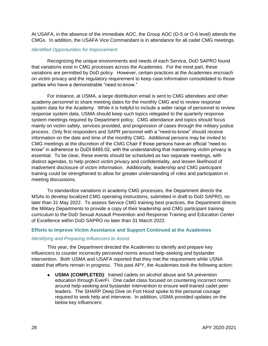At USAFA, in the absence of the immediate AOC, the Group AOC (O-5 or O-6 level) attends the CMGs. In addition, the USAFA Vice Commandant is in attendance for all cadet CMG meetings.

#### *Identified Opportunities for Improvement*

Recognizing the unique environments and needs of each Service, DoD SAPRO found that variations exist in CMG processes across the Academies. For the most part, these variations are permitted by DoD policy. However, certain practices at the Academies encroach on victim privacy and the regulatory requirement to keep case information consolidated to those parties who have a demonstrable "need-to-know."

For instance, at USMA, a large distribution email is sent to CMG attendees and other academy personnel to share meeting dates for the monthly CMG and to review response system data for the Academy. While it is helpful to include a wider range of personnel to review response system data, USMA should keep such topics relegated to the quarterly response system meetings required by Department policy. CMG attendance and topics should focus mainly on victim safety, services provided, and progression of cases through the military justice process. Only first responders and SAPR personnel with a "need-to-know" should receive information on the date and time of the monthly CMG. Additional persons may be invited to CMG meetings at the discretion of the CMG Chair if those persons have an official "need-toknow" in adherence to DoDI 6495.02, with the understanding that maintaining victim privacy is essential. To be clear, these events should be scheduled as two separate meetings, with distinct agendas, to help protect victim privacy and confidentiality, and lessen likelihood of inadvertent disclosure of victim information. Additionally, leadership and CMG participant training could be strengthened to allow for greater understanding of roles and participation in meeting discussions.

To standardize variations in academy CMG processes, the Department directs the MSAs to develop localized CMG operating instructions, submitted in draft to DoD SAPRO, no later than 31 May 2022. To assess Service CMG training best practices, the Department directs the Military Departments to provide a copy of their leadership and CMG participant training curriculum to the DoD Sexual Assault Prevention and Response Training and Education Center of Excellence within DoD SAPRO no later than 31 March 2022.

#### **Efforts to Improve Victim Assistance and Support Continued at the Academies**

#### *Identifying and Preparing Influencers to Assist*

This year, the Department directed the Academies to identify and prepare key influencers to counter incorrectly perceived norms around help-seeking and bystander intervention. Both USMA and USAFA reported that they met the requirement while USNA stated that efforts remain in progress. This past APY, the Academies took the following action:

**USMA (COMPLETED)**: trained cadets on alcohol abuse and SA prevention education through EverFi. One cadet class focused on countering incorrect norms around help-seeking and bystander intervention to ensure well-trained cadet peer leaders. The SHARP Deep Dive on Fort Hood spoke to the personal courage required to seek help and intervene. In addition, USMA provided updates on the below key influencers: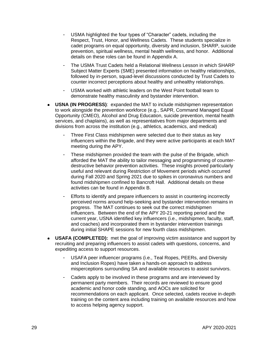- USMA highlighted the four types of "Character" cadets, including the Respect, Trust, Honor, and Wellness Cadets. These students specialize in cadet programs on equal opportunity, diversity and inclusion, SHARP, suicide prevention, spiritual wellness, mental health wellness, and honor. Additional details on these roles can be found in Appendix A.
- The USMA Trust Cadets held a Relational Wellness Lesson in which SHARP Subject Matter Experts (SME) presented information on healthy relationships, followed by in-person, squad-level discussions conducted by Trust Cadets to counter incorrect perceptions about healthy and unhealthy relationships.
- USMA worked with athletic leaders on the West Point football team to demonstrate healthy masculinity and bystander intervention.
- **USNA (IN PROGRESS)**: expanded the MAT to include midshipmen representation to work alongside the prevention workforce (e.g., SAPR, Command Managed Equal Opportunity (CMEO), Alcohol and Drug Education, suicide prevention, mental health services, and chaplains), as well as representatives from major departments and divisions from across the institution (e.g., athletics, academics, and medical)
	- Three First Class midshipmen were selected due to their status as key influencers within the Brigade, and they were active participants at each MAT meeting during the APY.
	- These midshipmen provided the team with the pulse of the Brigade, which afforded the MAT the ability to tailor messaging and programming of counterdestructive behavior prevention activities. These insights proved particularly useful and relevant during Restriction of Movement periods which occurred during Fall 2020 and Spring 2021 due to spikes in coronavirus numbers and found midshipmen confined to Bancroft Hall. Additional details on these activities can be found in Appendix B.
	- Efforts to identify and prepare influencers to assist in countering incorrectly perceived norms around help-seeking and bystander intervention remains in progress. The MAT continues to seek out the correct midshipmen influencers. Between the end of the APY 20-21 reporting period and the current year, USNA identified key influencers (i.e., midshipmen, faculty, staff, and coaches) and incorporated them in bystander intervention trainings during initial SHAPE sessions for new fourth class midshipmen.
- **USAFA (COMPLETED):** met the goal of improving victim assistance and support by  $\bullet$ recruiting and preparing influencers to assist cadets with questions, concerns, and expediting access to support resources.
	- USAFA peer influencer programs (i.e., Teal Ropes, PEERs, and Diversity and Inclusion Ropes) have taken a hands-on approach to address misperceptions surrounding SA and available resources to assist survivors.
	- Cadets apply to be involved in these programs and are interviewed by permanent party members. Their records are reviewed to ensure good academic and honor code standing, and AOCs are solicited for recommendations on each applicant. Once selected, cadets receive in-depth training on the content area including training on available resources and how to access helping agency support.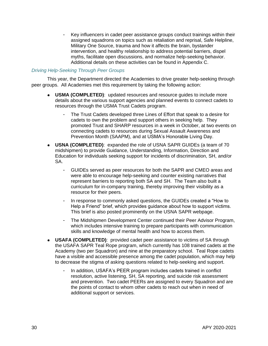Key influencers in cadet peer assistance groups conduct trainings within their assigned squadrons on topics such as retaliation and reprisal, Safe Helpline, Military One Source, trauma and how it affects the brain, bystander intervention, and healthy relationship to address potential barriers, dispel myths, facilitate open discussions, and normalize help-seeking behavior. Additional details on these activities can be found in Appendix C.

#### *Driving Help-Seeking Through Peer Groups*

This year, the Department directed the Academies to drive greater help-seeking through peer groups. All Academies met this requirement by taking the following action:

- **USMA (COMPLETED)**: updated resources and resource guides to include more details about the various support agencies and planned events to connect cadets to resources through the USMA Trust Cadets program.
	- The Trust Cadets developed three Lines of Effort that speak to a desire for cadets to own the problem and support others in seeking help. They promoted Trust and SHARP resources in a week in October, at two events on connecting cadets to resources during Sexual Assault Awareness and Prevention Month (SAAPM), and at USMA's Honorable Living Day.
- **USNA (COMPLETED)**: expanded the role of USNA SAPR GUIDEs (a team of 70 midshipmen) to provide Guidance, Understanding, Information, Direction and Education for individuals seeking support for incidents of discrimination, SH, and/or SA.
	- GUIDEs served as peer resources for both the SAPR and CMEO areas and were able to encourage help-seeking and counter existing narratives that represent barriers to reporting both SA and SH. The Team also built a curriculum for in-company training, thereby improving their visibility as a resource for their peers.
	- In response to commonly asked questions, the GUIDEs created a "How to Help a Friend" brief, which provides guidance about how to support victims. This brief is also posted prominently on the USNA SAPR webpage.
	- The Midshipmen Development Center continued their Peer Advisor Program, which includes intensive training to prepare participants with communication skills and knowledge of mental health and how to access them.
- **USAFA (COMPLETED)**: provided cadet peer assistance to victims of SA through the USAFA SAPR Teal Rope program, which currently has 108 trained cadets at the Academy (two per Squadron) and nine at the preparatory school. Teal Rope cadets have a visible and accessible presence among the cadet population, which may help to decrease the stigma of asking questions related to help-seeking and support.
	- In addition, USAFA's PEER program includes cadets trained in conflict resolution, active listening, SH, SA reporting, and suicide risk assessment and prevention. Two cadet PEERs are assigned to every Squadron and are the points of contact to whom other cadets to reach out when in need of additional support or services.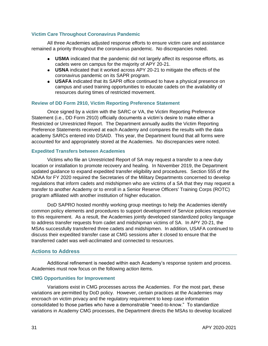## **Victim Care Throughout Coronavirus Pandemic**

All three Academies adjusted response efforts to ensure victim care and assistance remained a priority throughout the coronavirus pandemic. No discrepancies noted.

- **USMA** indicated that the pandemic did not largely affect its response efforts, as cadets were on campus for the majority of APY 20-21.
- **USNA** indicated that it worked across APY 20-21 to mitigate the effects of the coronavirus pandemic on its SAPR program.
- **USAFA** indicated that its SAPR office continued to have a physical presence on campus and used training opportunities to educate cadets on the availability of resources during times of restricted movement.

#### **Review of DD Form 2910, Victim Reporting Preference Statement**

Once signed by a victim with the SARC or VA, the Victim Reporting Preference Statement (i.e., DD Form 2910) officially documents a victim's desire to make either a Restricted or Unrestricted Report. The Department annually audits the Victim Reporting Preference Statements received at each Academy and compares the results with the data academy SARCs entered into DSAID. This year, the Department found that all forms were accounted for and appropriately stored at the Academies. No discrepancies were noted.

#### **Expedited Transfers between Academies**

Victims who file an Unrestricted Report of SA may request a transfer to a new duty location or installation to promote recovery and healing. In November 2019, the Department updated guidance to expand expedited transfer eligibility and procedures. Section 555 of the NDAA for FY 2020 required the Secretaries of the Military Departments concerned to develop regulations that inform cadets and midshipmen who are victims of a SA that they may request a transfer to another Academy or to enroll in a Senior Reserve Officers' Training Corps (ROTC) program affiliated with another institution of higher education.

DoD SAPRO hosted monthly working group meetings to help the Academies identify common policy elements and procedures to support development of Service policies responsive to this requirement. As a result, the Academies jointly developed standardized policy language to address transfer requests from cadet and midshipman victims of SA. In APY 20-21, the MSAs successfully transferred three cadets and midshipmen. In addition, USAFA continued to discuss their expedited transfer case at CMG sessions after it closed to ensure that the transferred cadet was well-acclimated and connected to resources.

### **Actions to Address**

Additional refinement is needed within each Academy's response system and process. Academies must now focus on the following action items.

### **CMG Opportunities for Improvement**

Variations exist in CMG processes across the Academies. For the most part, these variations are permitted by DoD policy. However, certain practices at the Academies may encroach on victim privacy and the regulatory requirement to keep case information consolidated to those parties who have a demonstrable "need-to-know." To standardize variations in Academy CMG processes, the Department directs the MSAs to develop localized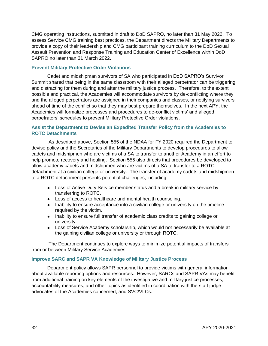CMG operating instructions, submitted in draft to DoD SAPRO, no later than 31 May 2022. To assess Service CMG training best practices, the Department directs the Military Departments to provide a copy of their leadership and CMG participant training curriculum to the DoD Sexual Assault Prevention and Response Training and Education Center of Excellence within DoD SAPRO no later than 31 March 2022.

### **Prevent Military Protective Order Violations**

Cadet and midshipman survivors of SA who participated in DoD SAPRO's Survivor Summit shared that being in the same classroom with their alleged perpetrator can be triggering and distracting for them during and after the military justice process. Therefore, to the extent possible and practical, the Academies will accommodate survivors by de-conflicting where they and the alleged perpetrators are assigned in their companies and classes, or notifying survivors ahead of time of the conflict so that they may best prepare themselves. In the next APY, the Academies will formalize processes and procedures to de-conflict victims' and alleged perpetrators' schedules to prevent Military Protective Order violations.

## **Assist the Department to Devise an Expedited Transfer Policy from the Academies to ROTC Detachments**

As described above, Section 555 of the NDAA for FY 2020 required the Department to devise policy and the Secretaries of the Military Departments to develop procedures to allow cadets and midshipmen who are victims of a SA to transfer to another Academy in an effort to help promote recovery and healing. Section 555 also directs that procedures be developed to allow academy cadets and midshipmen who are victims of a SA to transfer to a ROTC detachment at a civilian college or university. The transfer of academy cadets and midshipmen to a ROTC detachment presents potential challenges, including:

- Loss of Active Duty Service member status and a break in military service by transferring to ROTC.
- Loss of access to healthcare and mental health counseling.
- Inability to ensure acceptance into a civilian college or university on the timeline required by the victim.
- Inability to ensure full transfer of academic class credits to gaining college or university.
- Loss of Service Academy scholarship, which would not necessarily be available at the gaining civilian college or university or through ROTC.

The Department continues to explore ways to minimize potential impacts of transfers from or between Military Service Academies.

## **Improve SARC and SAPR VA Knowledge of Military Justice Process**

Department policy allows SAPR personnel to provide victims with general information about available reporting options and resources. However, SARCs and SAPR VAs may benefit from additional training on key elements of the investigative and military justice processes, accountability measures, and other topics as identified in coordination with the staff judge advocates of the Academies concerned, and SVC/VLCs.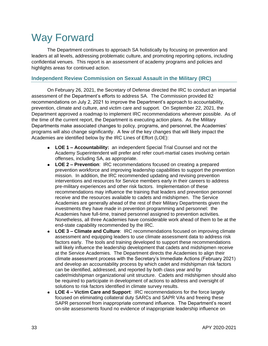## <span id="page-37-0"></span>Way Forward

The Department continues to approach SA holistically by focusing on prevention and leaders at all levels, addressing problematic culture, and promoting reporting options, including confidential venues. This report is an assessment of academy programs and policies and highlights areas for continued action.

## **Independent Review Commission on Sexual Assault in the Military (IRC)**

On February 26, 2021, the Secretary of Defense directed the IRC to conduct an impartial assessment of the Department's efforts to address SA. The Commission provided 82 recommendations on July 2, 2021 to improve the Department's approach to accountability, prevention, climate and culture, and victim care and support. On September 22, 2021, the Department approved a roadmap to implement IRC recommendations wherever possible. As of the time of the current report, the Department is executing action plans. As the Military Departments make associated changes to policy, programs, and personnel, the Academies' programs will also change significantly. A few of the key changes that will likely impact the Academies are identified below by the IRC Lines of Effort (LOE):

- **LOE 1 – Accountability:** an independent Special Trial Counsel and not the Academy Superintendent will prefer and refer court-martial cases involving certain offenses, including SA, as appropriate.
- **LOE 2 – Prevention**: IRC recommendations focused on creating a prepared prevention workforce and improving leadership capabilities to support the prevention mission. In addition, the IRC recommended updating and revising prevention interventions and resources for Service members early in their careers to address pre-military experiences and other risk factors. Implementation of these recommendations may influence the training that leaders and prevention personnel receive and the resources available to cadets and midshipmen. The Service Academies are generally ahead of the rest of their Military Departments given the investments they have made in prevention programming and personnel: the Academies have full-time, trained personnel assigned to prevention activities. Nonetheless, all three Academies have considerable work ahead of them to be at the end-state capability recommended by the IRC.
- **LOE 3 – Climate and Culture**: IRC recommendations focused on improving climate  $\bullet$ assessment and equipping leaders to use climate assessment data to address risk factors early. The tools and training developed to support these recommendations will likely influence the leadership development that cadets and midshipmen receive at the Service Academies. The Department directs the Academies to align their climate assessment process with the Secretary's Immediate Actions (February 2021) and develop an accountability process by which cadet and midshipman risk factors can be identified, addressed, and reported by both class year and by cadet/midshipman organizational unit structure. Cadets and midshipmen should also be required to participate in development of actions to address and oversight of solutions to risk factors identified in climate survey results.
- **LOE 4 – Victim Care and Support**: IRC recommendations for the force largely focused on eliminating collateral duty SARCs and SAPR VAs and freeing these SAPR personnel from inappropriate command influence. The Department's recent on-site assessments found no evidence of inappropriate leadership influence on